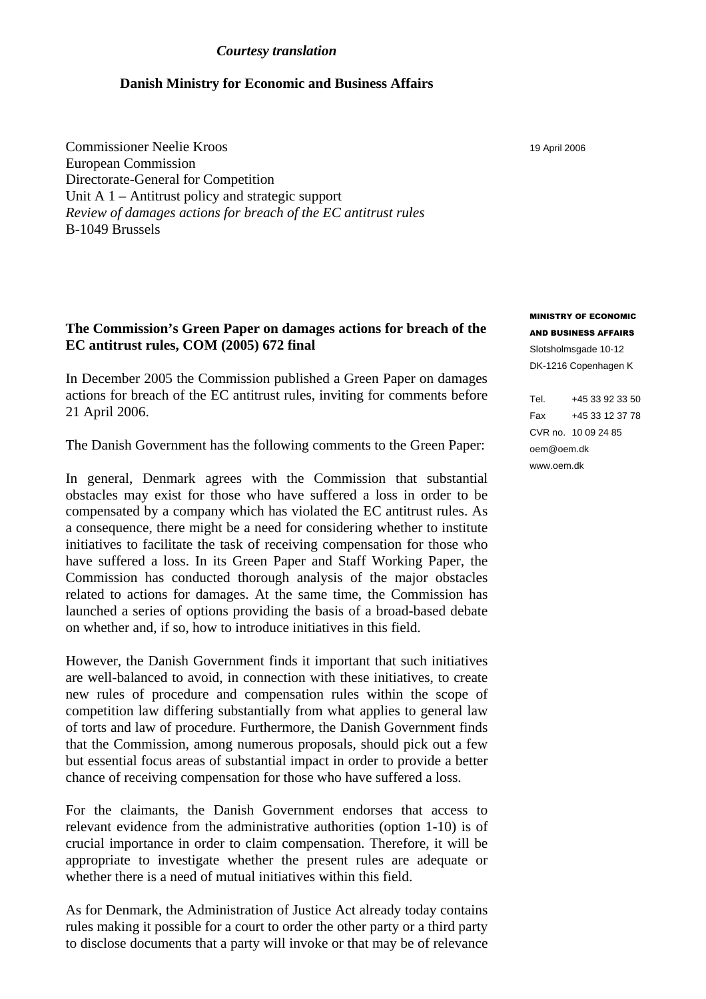#### *Courtesy translation*

# **Danish Ministry for Economic and Business Affairs**

Commissioner Neelie Kroos European Commission Directorate-General for Competition Unit A 1 – Antitrust policy and strategic support *Review of damages actions for breach of the EC antitrust rules* B-1049 Brussels

# **The Commission's Green Paper on damages actions for breach of the EC antitrust rules, COM (2005) 672 final**

In December 2005 the Commission published a Green Paper on damages actions for breach of the EC antitrust rules, inviting for comments before 21 April 2006.

The Danish Government has the following comments to the Green Paper:

In general, Denmark agrees with the Commission that substantial obstacles may exist for those who have suffered a loss in order to be compensated by a company which has violated the EC antitrust rules. As a consequence, there might be a need for considering whether to institute initiatives to facilitate the task of receiving compensation for those who have suffered a loss. In its Green Paper and Staff Working Paper, the Commission has conducted thorough analysis of the major obstacles related to actions for damages. At the same time, the Commission has launched a series of options providing the basis of a broad-based debate on whether and, if so, how to introduce initiatives in this field.

However, the Danish Government finds it important that such initiatives are well-balanced to avoid, in connection with these initiatives, to create new rules of procedure and compensation rules within the scope of competition law differing substantially from what applies to general law of torts and law of procedure. Furthermore, the Danish Government finds that the Commission, among numerous proposals, should pick out a few but essential focus areas of substantial impact in order to provide a better chance of receiving compensation for those who have suffered a loss.

For the claimants, the Danish Government endorses that access to relevant evidence from the administrative authorities (option 1-10) is of crucial importance in order to claim compensation. Therefore, it will be appropriate to investigate whether the present rules are adequate or whether there is a need of mutual initiatives within this field.

As for Denmark, the Administration of Justice Act already today contains rules making it possible for a court to order the other party or a third party to disclose documents that a party will invoke or that may be of relevance 19 April 2006

MINISTRY OF ECONOMIC AND BUSINESS AFFAIRS Slotsholmsgade 10-12 DK-1216 Copenhagen K

Tel. +45 33 92 33 50 Fax +45 33 12 37 78 CVR no. 10 09 24 85 oem@oem.dk www.oem.dk